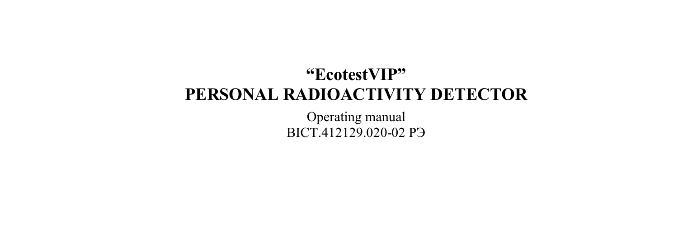#### **"EcotestVIP" PERSONAL RADIOACTIVITY DETECTOR**

Operating manual ВIСТ.412129.020-02 РЭ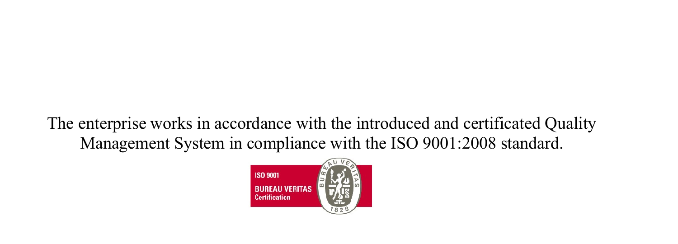The enterprise works in accordance with the introduced and certificated Quality Management System in compliance with the ISO 9001:2008 standard.

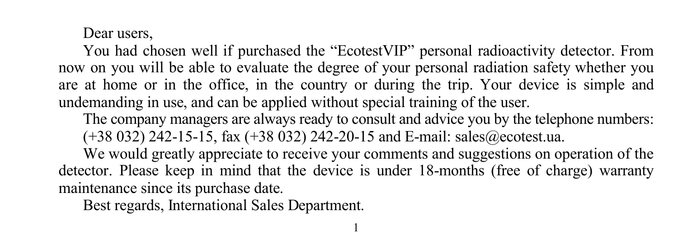#### Dear users,

You had chosen well if purchased the "EcotestVIP" personal radioactivity detector. From now on you will be able to evaluate the degree of your personal radiation safety whether you are at home or in the office, in the country or during the trip. Your device is simple and undemanding in use, and can be applied without special training of the user.

The company managers are always ready to consult and advice you by the telephone numbers: (+38 032) 242-15-15, fax (+38 032) 242-20-15 and E-mail: sales@ecotest.ua.

We would greatly appreciate to receive your comments and suggestions on operation of the detector. Please keep in mind that the device is under 18-months (free of charge) warranty maintenance since its purchase date.

1

Best regards, International Sales Department.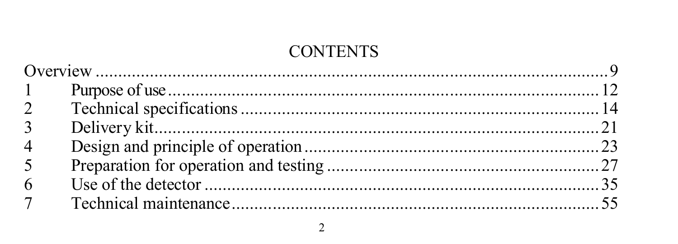#### **CONTENTS**

| $1 \quad$      |  |
|----------------|--|
| $\overline{2}$ |  |
| $\overline{3}$ |  |
| $\overline{4}$ |  |
| 5              |  |
| 6              |  |
| 7 <sup>7</sup> |  |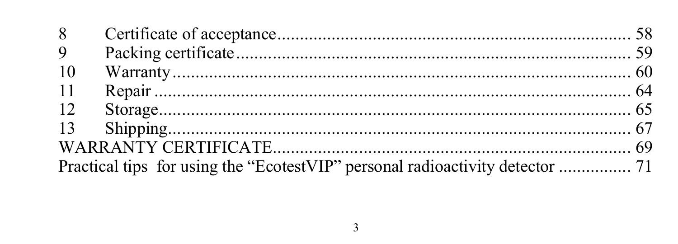| 9  |                                                                               |  |
|----|-------------------------------------------------------------------------------|--|
| 10 |                                                                               |  |
| 11 |                                                                               |  |
| 12 |                                                                               |  |
|    |                                                                               |  |
|    |                                                                               |  |
|    | Practical tips for using the "EcotestVIP" personal radioactivity detector  71 |  |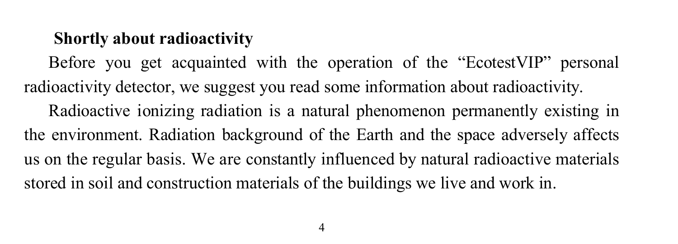#### **Shortly about radioactivity**

Before you get acquainted with the operation of the "EcotestVIP" personal radioactivity detector, we suggest you read some information about radioactivity. Radioactive ionizing radiation is a natural phenomenon permanently existing in the environment. Radiation background of the Earth and the space adversely affects us on the regular basis. We are constantly influenced by natural radioactive materials stored in soil and construction materials of the buildings we live and work in.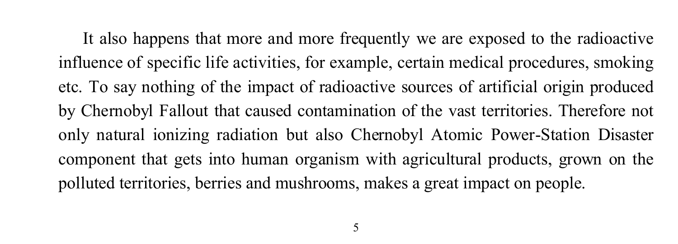It also happens that more and more frequently we are exposed to the radioactive influence of specific life activities, for example, certain medical procedures, smoking etc. To say nothing of the impact of radioactive sources of artificial origin produced by Chernobyl Fallout that caused contamination of the vast territories. Therefore not only natural ionizing radiation but also Chernobyl Atomic Power-Station Disaster component that gets into human organism with agricultural products, grown on the polluted territories, berries and mushrooms, makes a great impact on people.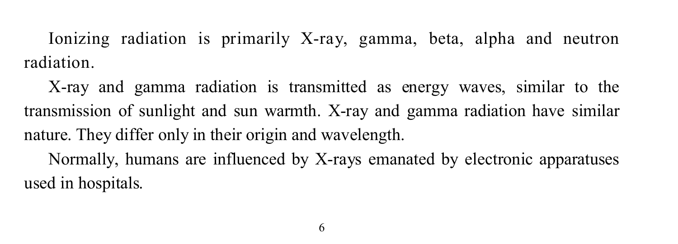Ionizing radiation is primarily X-ray, gamma, beta, alpha and neutron radiation.

X-ray and gamma radiation is transmitted as energy waves, similar to the transmission of sunlight and sun warmth. X-ray and gamma radiation have similar nature. They differ only in their origin and wavelength. Normally, humans are influenced by X-rays emanated by electronic apparatuses used in hospitals.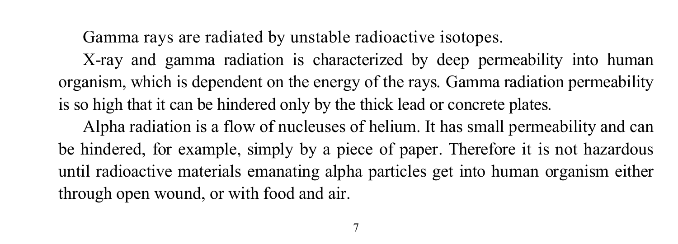Gamma rays are radiated by unstable radioactive isotopes.

X-ray and gamma radiation is characterized by deep permeability into human organism, which is dependent on the energy of the rays. Gamma radiation permeability is so high that it can be hindered only by the thick lead or concrete plates.

Alpha radiation is a flow of nucleuses of helium. It has small permeability and can be hindered, for example, simply by a piece of paper. Therefore it is not hazardous until radioactive materials emanating alpha particles get into human organism either through open wound, or with food and air.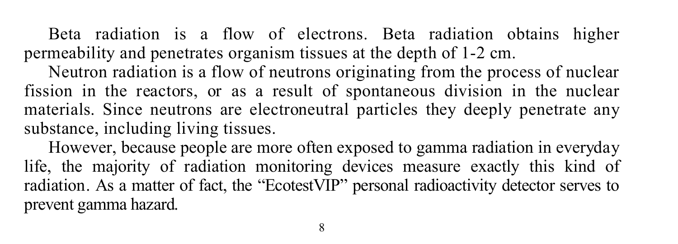Beta radiation is a flow of electrons. Beta radiation obtains higher permeability and penetrates organism tissues at the depth of 1-2 cm.

Neutron radiation is a flow of neutrons originating from the process of nuclear fission in the reactors, or as a result of spontaneous division in the nuclear materials. Since neutrons are electroneutral particles they deeply penetrate any substance, including living tissues.

However, because people are more often exposed to gamma radiation in everyday life, the majority of radiation monitoring devices measure exactly this kind of radiation. As a matter of fact, the "EcotestVIP" personal radioactivity detector serves to prevent gamma hazard.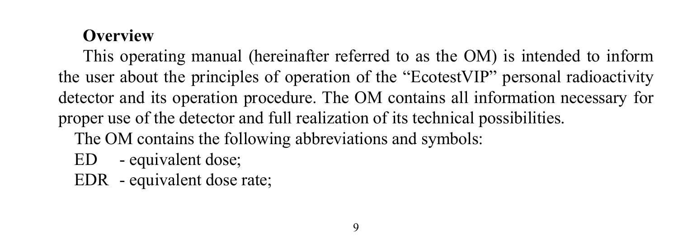#### **Overview**

This operating manual (hereinafter referred to as the OM) is intended to inform the user about the principles of operation of the "EcotestVIP" personal radioactivity detector and its operation procedure. The OM contains all information necessary for proper use of the detector and full realization of its technical possibilities. The OM contains the following abbreviations and symbols:

- ED equivalent dose;
- EDR equivalent dose rate;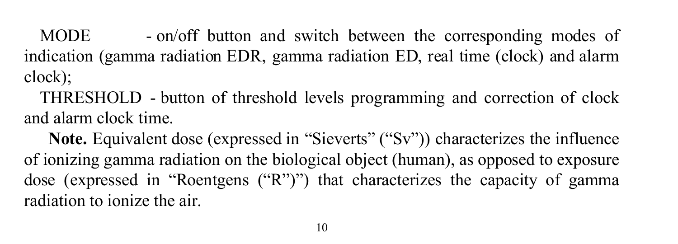MODE - on/off button and switch between the corresponding modes of indication (gamma radiation EDR, gamma radiation ED, real time (clock) and alarm clock);

THRESHOLD - button of threshold levels programming and correction of clock and alarm clock time.

**Note.** Equivalent dose (expressed in "Sieverts" ("Sv")) characterizes the influence of ionizing gamma radiation on the biological object (human), as opposed to exposure dose (expressed in "Roentgens ("R")") that characterizes the capacity of gamma radiation to ionize the air.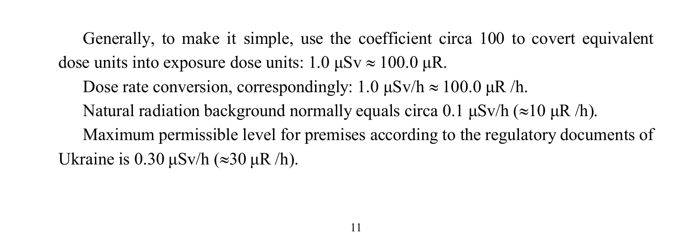Generally, to make it simple, use the coefficient circa 100 to covert equivalent dose units into exposure dose units:  $1.0 \mu Sv \approx 100.0 \mu R$ .

Dose rate conversion, correspondingly:  $1.0 \mu Sv/h \approx 100.0 \mu R/h$ . Natural radiation background normally equals circa 0.1  $\mu$ Sv/h ( $\approx$ 10  $\mu$ R /h). Maximum permissible level for premises according to the regulatory documents of Ukraine is  $0.30 \mu Sv/h$  ( $\approx 30 \mu R/h$ ).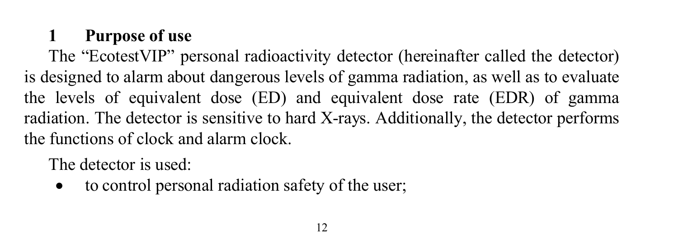## **1 Purpose of use**

The "EcotestVIP" personal radioactivity detector (hereinafter called the detector) is designed to alarm about dangerous levels of gamma radiation, as well as to evaluate the levels of equivalent dose (ED) and equivalent dose rate (EDR) of gamma radiation. The detector is sensitive to hard X-rays. Additionally, the detector performs the functions of clock and alarm clock.

The detector is used:

• to control personal radiation safety of the user: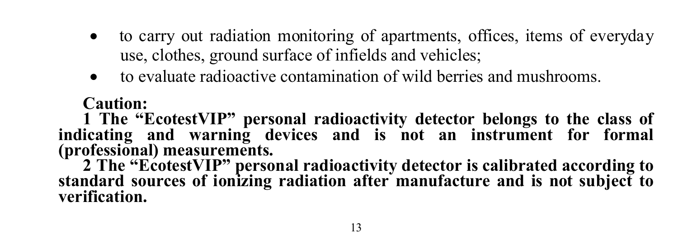- to carry out radiation monitoring of apartments, offices, items of everyday use, clothes, ground surface of infields and vehicles;
- to evaluate radioactive contamination of wild berries and mushrooms.

#### **Caution:**

**1 The "EcotestVIP" personal radioactivity detector belongs to the class of indicating and warning devices and is not an instrument for formal (professional) measurements.**

**2 The "EcotestVIP" personal radioactivity detector is calibrated according to standard sources of ionizing radiation after manufacture and is not subject to verification.**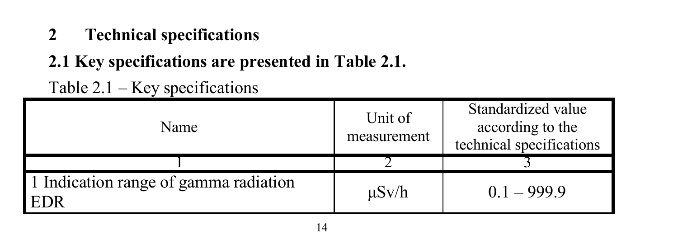### **2 Technical specifications**

 $Table 2.1 - Key specification$ 

## **2.1 Key specifications are presented in Table 2.1.**

| $10010 + 11$<br><b>EXCY</b> Specifications          |                        |                                                                    |
|-----------------------------------------------------|------------------------|--------------------------------------------------------------------|
| Name                                                | Unit of<br>measurement | Standardized value<br>according to the<br>technical specifications |
|                                                     |                        |                                                                    |
| 1 Indication range of gamma radiation<br><b>EDR</b> | $\mu$ Sv/h             | $0.1 - 999.9$                                                      |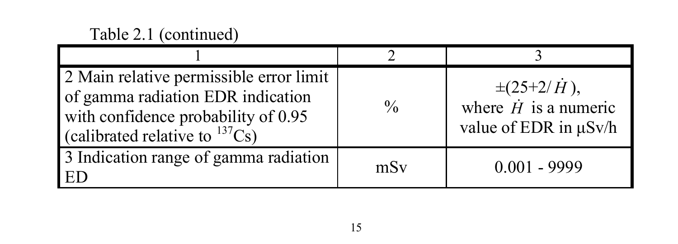#### Table 2.1 (continued)

| 2 Main relative permissible error limit<br>of gamma radiation EDR indication<br>with confidence probability of 0.95<br>(calibrated relative to $^{137}Cs$ ) | $\frac{0}{0}$ | $\pm(25+2/\dot{H})$ ,<br>where $\dot{H}$ is a numeric<br>value of EDR in $\mu$ Sv/h |
|-------------------------------------------------------------------------------------------------------------------------------------------------------------|---------------|-------------------------------------------------------------------------------------|
| 3 Indication range of gamma radiation<br>ED                                                                                                                 | mSv           | $0.001 - 9999$                                                                      |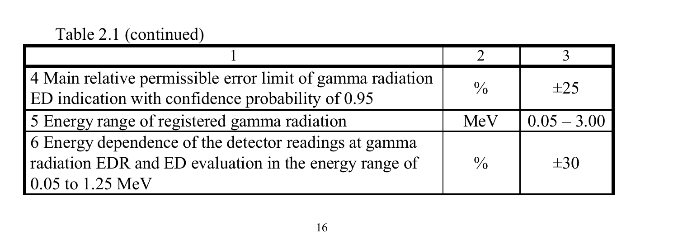| 4 Main relative permissible error limit of gamma radiation<br>ED indication with confidence probability of 0.95                     | $\frac{0}{0}$ | $\pm 25$      |
|-------------------------------------------------------------------------------------------------------------------------------------|---------------|---------------|
| 5 Energy range of registered gamma radiation                                                                                        | MeV           | $0.05 - 3.00$ |
| 6 Energy dependence of the detector readings at gamma<br>radiation EDR and ED evaluation in the energy range of<br>0.05 to 1.25 MeV | $\frac{0}{0}$ | $\pm 30$      |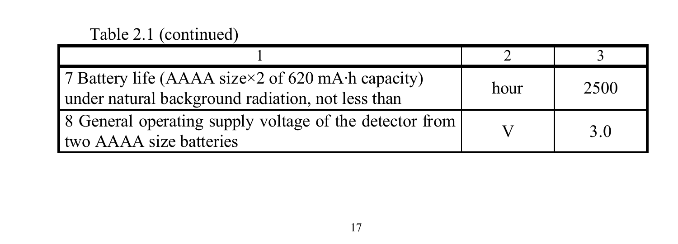| 7 Battery life (AAAA size×2 of 620 mA·h capacity)<br>under natural background radiation, not less than | hour | 2500 |
|--------------------------------------------------------------------------------------------------------|------|------|
| 8 General operating supply voltage of the detector from<br>two AAAA size batteries                     |      | 30   |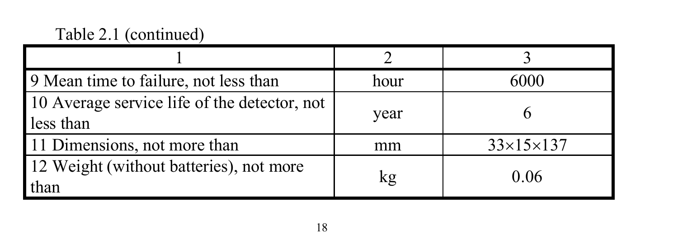| 9 Mean time to failure, not less than                     | hour | 6000                  |
|-----------------------------------------------------------|------|-----------------------|
| 10 Average service life of the detector, not<br>less than | year |                       |
| 11 Dimensions, not more than                              | mm   | $33\times15\times137$ |
| 12 Weight (without batteries), not more<br>than           | kg   | 0.06                  |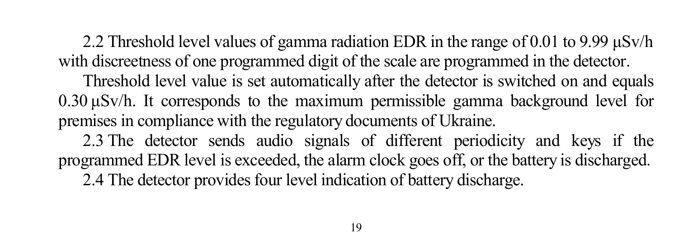2.2 Threshold level values of gamma radiation EDR in the range of 0.01 to 9.99  $\mu$ Sv/h with discreetness of one programmed digit of the scale are programmed in the detector. Threshold level value is set automatically after the detector is switched on and equals 0.30 μSv/h. It corresponds to the maximum permissible gamma background level for premises in compliance with the regulatory documents of Ukraine. 2.3 The detector sends audio signals of different periodicity and keys if the programmed EDR level is exceeded, the alarm clock goes off, or the battery is discharged. 2.4 The detector provides four level indication of battery discharge.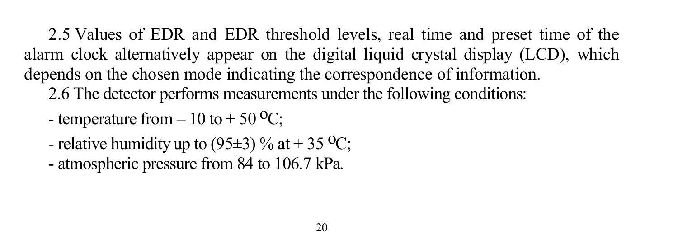2.5 Values of EDR and EDR threshold levels, real time and preset time of the alarm clock alternatively appear on the digital liquid crystal display (LCD), which depends on the chosen mode indicating the correspondence of information.

- 2.6 The detector performs measurements under the following conditions:
- temperature from  $-10$  to  $+50$  <sup>o</sup>C;
- relative humidity up to (95 $\pm$ 3) % at + 35 °C;
- atmospheric pressure from 84 to 106.7 kPa.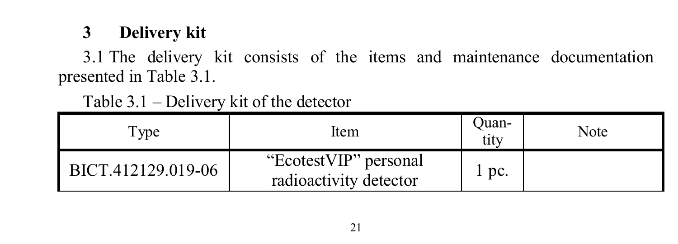## **3 Delivery kit**

3.1 The delivery kit consists of the items and maintenance documentation presented in Table 3.1.

Table 3.1 – Delivery kit of the detector

| Type               | Item                                            | Ouan-<br>tıtv | Note |
|--------------------|-------------------------------------------------|---------------|------|
| BICT.412129.019-06 | "EcotestVIP" personal<br>radioactivity detector | l pc.         |      |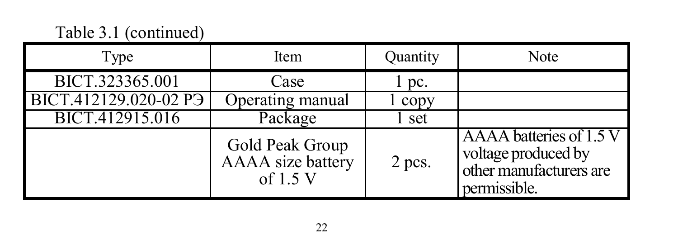#### Table 3.1 (continued)

| Type                              | Item                                             | Quantity | Note                                                                                      |
|-----------------------------------|--------------------------------------------------|----------|-------------------------------------------------------------------------------------------|
| BICT.323365.001                   | Case                                             | pc.      |                                                                                           |
| BICT.412129.020-02 P <sub>3</sub> | Operating manual                                 | l copy   |                                                                                           |
| BICT.412915.016                   | Package                                          | set      |                                                                                           |
|                                   | Gold Peak Group<br>AAAA size battery<br>of 1.5 V | 2 pcs.   | AAAA batteries of 1.5 V<br>voltage produced by<br>other manufacturers are<br>permissible. |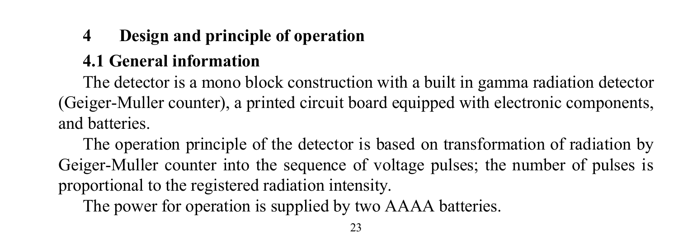# **4 Design and principle of operation**

## **4.1 General information**

The detector is a mono block construction with a built in gamma radiation detector (Geiger-Muller counter), a printed circuit board equipped with electronic components, and batteries.

The operation principle of the detector is based on transformation of radiation by Geiger-Muller counter into the sequence of voltage pulses; the number of pulses is proportional to the registered radiation intensity.

The power for operation is supplied by two AAAA batteries.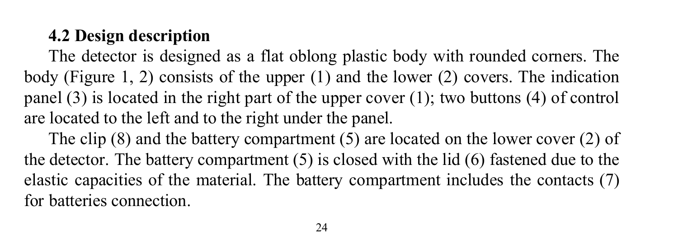### **4.2 Design description**

The detector is designed as a flat oblong plastic body with rounded corners. The body (Figure 1, 2) consists of the upper (1) and the lower (2) covers. The indication panel (3) is located in the right part of the upper cover (1); two buttons (4) of control are located to the left and to the right under the panel.

The clip (8) and the battery compartment (5) are located on the lower cover (2) of the detector. The battery compartment (5) is closed with the lid (6) fastened due to the elastic capacities of the material. The battery compartment includes the contacts (7) for batteries connection.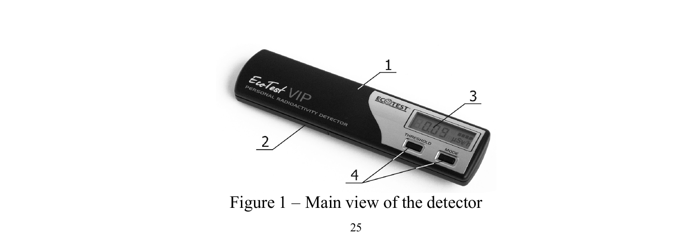

Figure 1 – Main view of the detector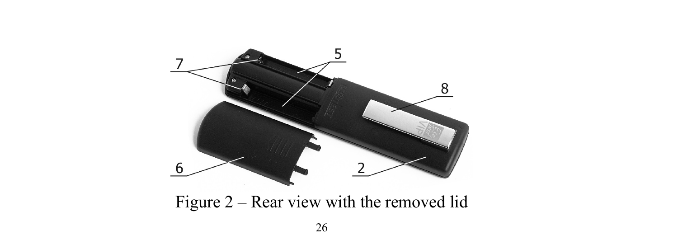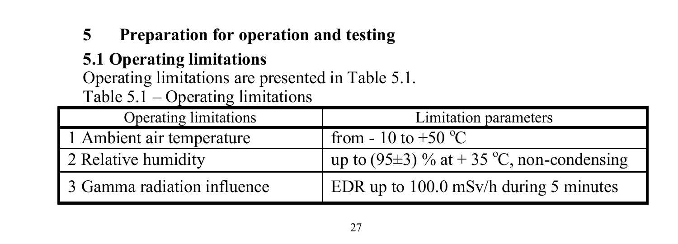## **5 Preparation for operation and testing**

## **5.1 Operating limitations**

Operating limitations are presented in Table 5.1. Table  $5.1$  – Operating limitations

| Operating limitations       | Limitation parameters                          |
|-----------------------------|------------------------------------------------|
| 1 Ambient air temperature   | from - 10 to +50 $^{\circ}$ C                  |
| 2 Relative humidity         | up to (95 $\pm$ 3) % at +35 °C, non-condensing |
| 3 Gamma radiation influence | EDR up to $100.0$ mSv/h during 5 minutes       |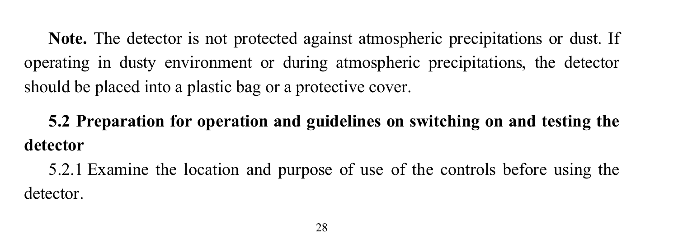**Note.** The detector is not protected against atmospheric precipitations or dust. If operating in dusty environment or during atmospheric precipitations, the detector should be placed into a plastic bag or a protective cover.

**5.2 Preparation for operation and guidelines on switching on and testing the detector**

5.2.1 Examine the location and purpose of use of the controls before using the detector.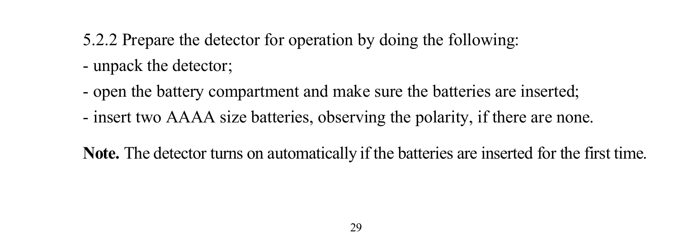- 5.2.2 Prepare the detector for operation by doing the following: - unpack the detector;
- open the battery compartment and make sure the batteries are inserted;
- insert two AAAA size batteries, observing the polarity, if there are none.

**Note.** The detector turns on automatically if the batteries are inserted for the first time.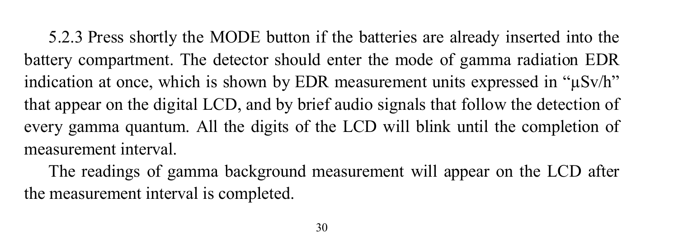5.2.3 Press shortly the MODE button if the batteries are already inserted into the battery compartment. The detector should enter the mode of gamma radiation EDR indication at once, which is shown by EDR measurement units expressed in " $\mu$ Sv/h" that appear on the digital LCD, and by brief audio signals that follow the detection of every gamma quantum. All the digits of the LCD will blink until the completion of measurement interval.

The readings of gamma background measurement will appear on the LCD after the measurement interval is completed.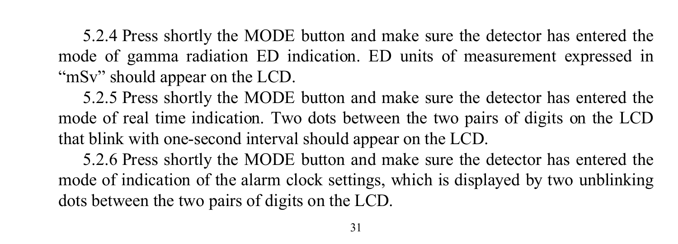5.2.4 Press shortly the MODE button and make sure the detector has entered the mode of gamma radiation ED indication. ED units of measurement expressed in "mSv" should appear on the LCD.

5.2.5 Press shortly the MODE button and make sure the detector has entered the mode of real time indication. Two dots between the two pairs of digits on the LCD that blink with one-second interval should appear on the LCD.

5.2.6 Press shortly the MODE button and make sure the detector has entered the mode of indication of the alarm clock settings, which is displayed by two unblinking dots between the two pairs of digits on the LCD.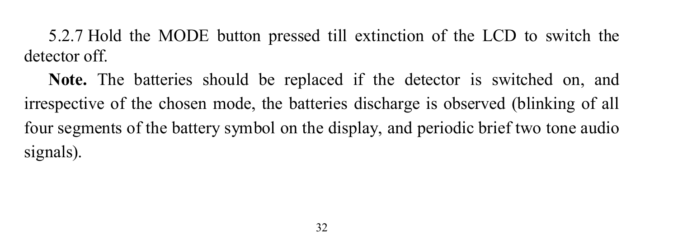5.2.7 Hold the MODE button pressed till extinction of the LCD to switch the detector off.

**Note.** The batteries should be replaced if the detector is switched on, and irrespective of the chosen mode, the batteries discharge is observed (blinking of all four segments of the battery symbol on the display, and periodic brief two tone audio signals).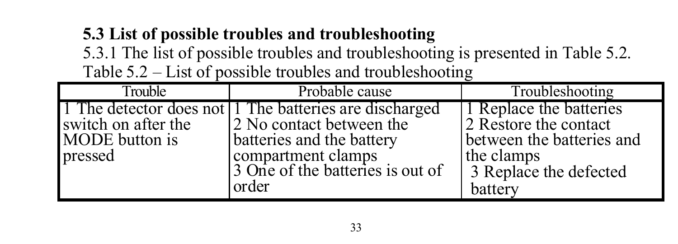## **5.3 List of possible troubles and troubleshooting**

5.3.1 The list of possible troubles and troubleshooting is presented in Table 5.2.

Table 5.2 – List of possible troubles and troubleshooting

| Trouble                   | Probable cause                                                                     | Troubleshooting                                  |
|---------------------------|------------------------------------------------------------------------------------|--------------------------------------------------|
| switch on after the       | 1 The detector does not 1 The batteries are discharged<br>2 No contact between the | 1 Replace the batteries<br>2 Restore the contact |
| MODE button is<br>pressed | batteries and the battery<br>compartment clamps                                    | between the batteries and<br>the clamps          |
|                           | 3 One of the batteries is out of<br>order                                          | 3 Replace the defected<br>battery                |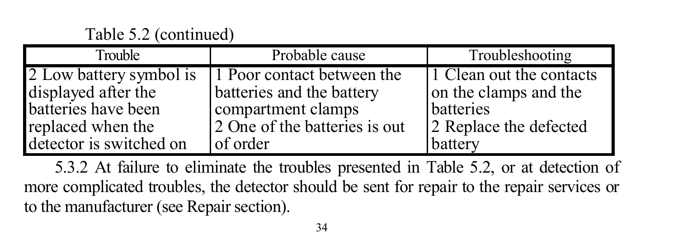| Trouble                 | Probable cause                | Troubleshooting          |
|-------------------------|-------------------------------|--------------------------|
| 2 Low battery symbol is | 1 Poor contact between the    | 1 Clean out the contacts |
| displayed after the     | batteries and the battery     | on the clamps and the    |
| batteries have been     | compartment clamps            | batteries                |
| replaced when the       | 2 One of the batteries is out | 2 Replace the defected   |
| detector is switched on | of order                      | battery                  |

5.3.2 At failure to eliminate the troubles presented in Table 5.2, or at detection of more complicated troubles, the detector should be sent for repair to the repair services or to the manufacturer (see Repair section).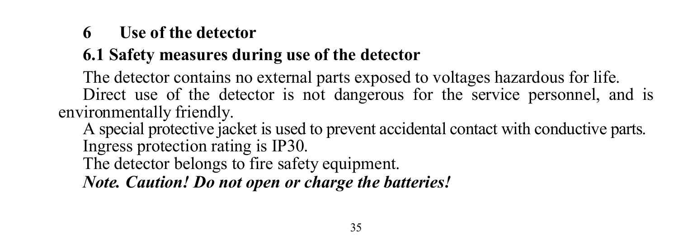### **6 Use of the detector**

# **6.1 Safety measures during use of the detector**

The detector contains no external parts exposed to voltages hazardous for life. Direct use of the detector is not dangerous for the service personnel, and is environmentally friendly.

A special protective jacket is used to prevent accidental contact with conductive parts. Ingress protection rating is IP30.

The detector belongs to fire safety equipment.

*Note. Caution! Do not open or charge the batteries!*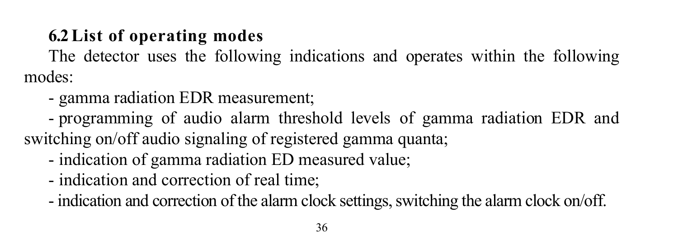# **6.2List of operating modes**

The detector uses the following indications and operates within the following modes:

- gamma radiation EDR measurement;

- programming of audio alarm threshold levels of gamma radiation EDR and switching on/off audio signaling of registered gamma quanta;

- indication of gamma radiation ED measured value;
- indication and correction of real time;

- indication and correction of the alarm clock settings, switching the alarm clock on/off.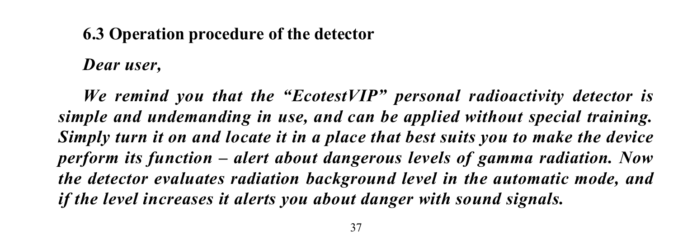### **6.3 Operation procedure of the detector**

*Dear user,*

*We remind you that the "EcotestVIP" personal radioactivity detector is simple and undemanding in use, and can be applied without special training. Simply turn it on and locate it in a place that best suits you to make the device perform its function – alert about dangerous levels of gamma radiation. Now the detector evaluates radiation background level in the automatic mode, and if the level increases it alerts you about danger with sound signals.*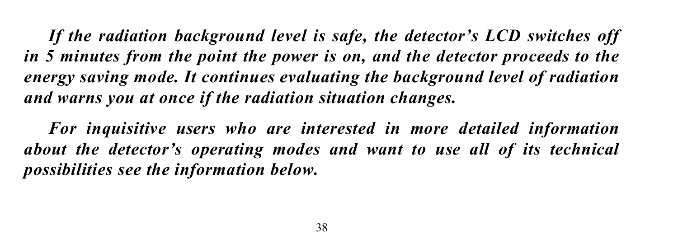*If the radiation background level is safe, the detector's LCD switches off in 5 minutes from the point the power is on, and the detector proceeds to the energy saving mode. It continues evaluating the background level of radiation and warns you at once if the radiation situation changes.* 

*For inquisitive users who are interested in more detailed information about the detector's operating modes and want to use all of its technical possibilities see the information below.*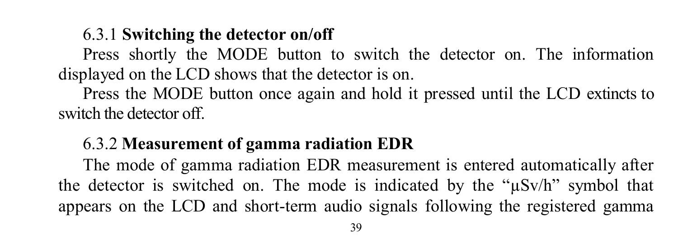### 6.3.1 **Switching the detector on/off**

Press shortly the MODE button to switch the detector on. The information displayed on the LCD shows that the detector is on.

Press the MODE button once again and hold it pressed until the LCD extincts to switch the detector off.

#### 6.3.2 **Measurement of gamma radiation EDR**

The mode of gamma radiation EDR measurement is entered automatically after the detector is switched on. The mode is indicated by the " $\mu$ Sv/h" symbol that appears on the LCD and short-term audio signals following the registered gamma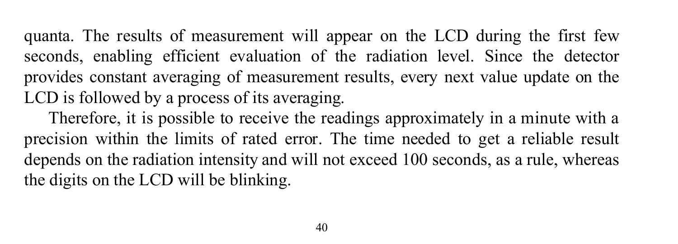quanta. The results of measurement will appear on the LCD during the first few seconds, enabling efficient evaluation of the radiation level. Since the detector provides constant averaging of measurement results, every next value update on the LCD is followed by a process of its averaging.

Therefore, it is possible to receive the readings approximately in a minute with a precision within the limits of rated error. The time needed to get a reliable result depends on the radiation intensity and will not exceed 100 seconds, as a rule, whereas the digits on the LCD will be blinking.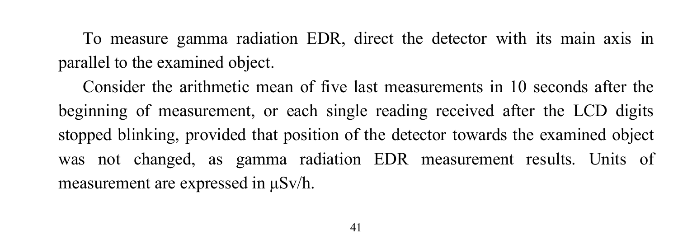To measure gamma radiation EDR, direct the detector with its main axis in parallel to the examined object.

Consider the arithmetic mean of five last measurements in 10 seconds after the beginning of measurement, or each single reading received after the LCD digits stopped blinking, provided that position of the detector towards the examined object was not changed, as gamma radiation EDR measurement results. Units of measurement are expressed in μSv/h.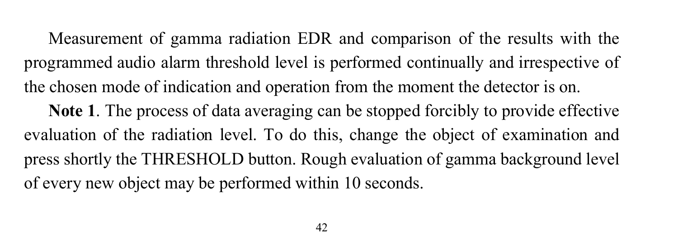Measurement of gamma radiation EDR and comparison of the results with the programmed audio alarm threshold level is performed continually and irrespective of the chosen mode of indication and operation from the moment the detector is on. **Note 1**. The process of data averaging can be stopped forcibly to provide effective evaluation of the radiation level. To do this, change the object of examination and press shortly the THRESHOLD button. Rough evaluation of gamma background level of every new object may be performed within 10 seconds.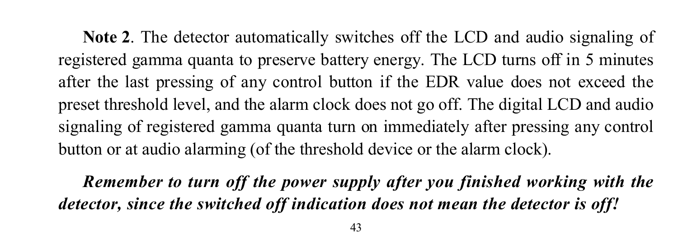**Note 2**. The detector automatically switches off the LCD and audio signaling of registered gamma quanta to preserve battery energy. The LCD turns off in 5 minutes after the last pressing of any control button if the EDR value does not exceed the preset threshold level, and the alarm clock does not go off. The digital LCD and audio signaling of registered gamma quanta turn on immediately after pressing any control button or at audio alarming (of the threshold device or the alarm clock).

*Remember to turn off the power supply after you finished working with the detector, since the switched off indication does not mean the detector is off!*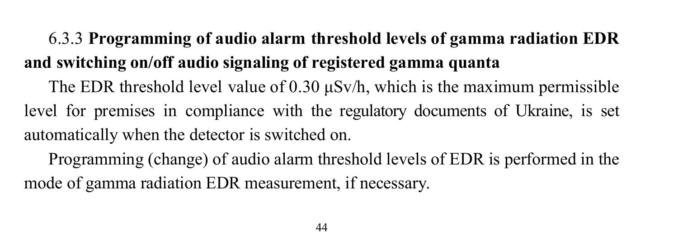# 6.3.3 **Programming of audio alarm threshold levels of gamma radiation EDR and switching on/off audio signaling of registered gamma quanta**

The EDR threshold level value of 0.30  $\mu$ Sv/h, which is the maximum permissible level for premises in compliance with the regulatory documents of Ukraine, is set automatically when the detector is switched on.

Programming (change) of audio alarm threshold levels of EDR is performed in the mode of gamma radiation EDR measurement, if necessary.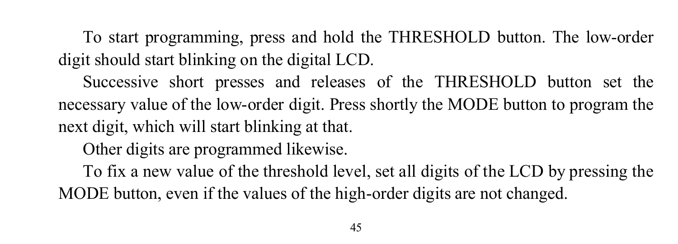To start programming, press and hold the THRESHOLD button. The low-order digit should start blinking on the digital LCD.

Successive short presses and releases of the THRESHOLD button set the necessary value of the low-order digit. Press shortly the MODE button to program the next digit, which will start blinking at that. Other digits are programmed likewise. To fix a new value of the threshold level, set all digits of the LCD by pressing the MODE button, even if the values of the high-order digits are not changed.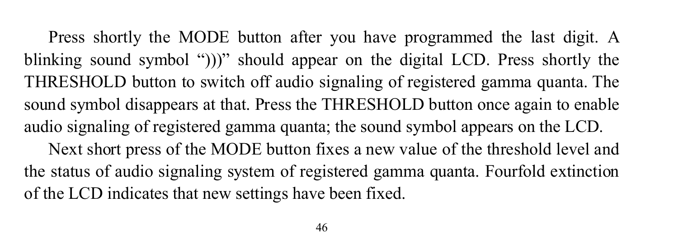Press shortly the MODE button after you have programmed the last digit. A blinking sound symbol ")))" should appear on the digital LCD. Press shortly the THRESHOLD button to switch off audio signaling of registered gamma quanta. The sound symbol disappears at that. Press the THRESHOLD button once again to enable audio signaling of registered gamma quanta; the sound symbol appears on the LCD. Next short press of the MODE button fixes a new value of the threshold level and the status of audio signaling system of registered gamma quanta. Fourfold extinction of the LCD indicates that new settings have been fixed.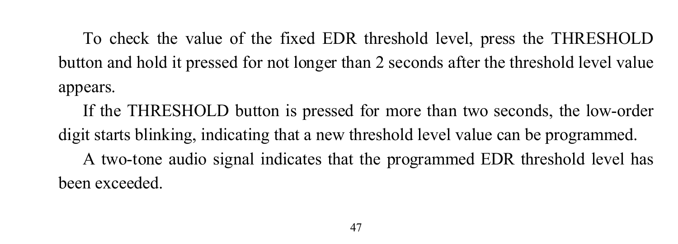To check the value of the fixed EDR threshold level, press the THRESHOLD button and hold it pressed for not longer than 2 seconds after the threshold level value appears.

If the THRESHOLD button is pressed for more than two seconds, the low-order digit starts blinking, indicating that a new threshold level value can be programmed. A two-tone audio signal indicates that the programmed EDR threshold level has been exceeded.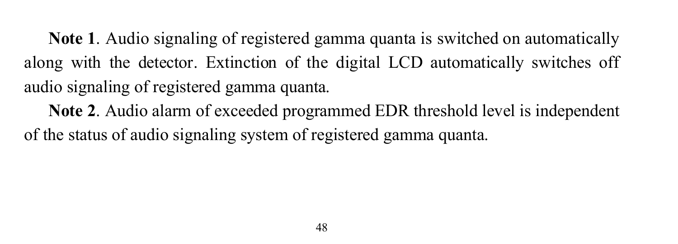**Note 1**. Audio signaling of registered gamma quanta is switched on automatically along with the detector. Extinction of the digital LCD automatically switches off audio signaling of registered gamma quanta.

**Note 2**. Audio alarm of exceeded programmed EDR threshold level is independent of the status of audio signaling system of registered gamma quanta.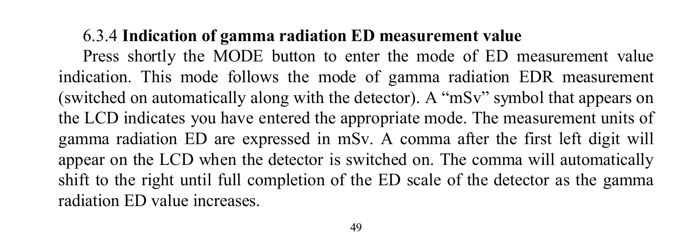### 6.3.4 **Indication of gamma radiation ED measurement value**

Press shortly the MODE button to enter the mode of ED measurement value indication. This mode follows the mode of gamma radiation EDR measurement (switched on automatically along with the detector). A "mSv" symbol that appears on the LCD indicates you have entered the appropriate mode. The measurement units of gamma radiation ED are expressed in mSv. A comma after the first left digit will appear on the LCD when the detector is switched on. The comma will automatically shift to the right until full completion of the ED scale of the detector as the gamma radiation ED value increases.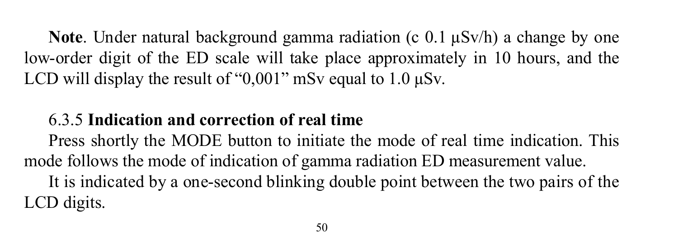**Note**. Under natural background gamma radiation (c 0.1  $\mu$ Sv/h) a change by one low-order digit of the ED scale will take place approximately in 10 hours, and the LCD will display the result of " $0.001$ " mSv equal to 1.0  $\mu$ Sv.

### 6.3.5 **Indication and correction of real time**

Press shortly the MODE button to initiate the mode of real time indication. This mode follows the mode of indication of gamma radiation ED measurement value. It is indicated by a one-second blinking double point between the two pairs of the LCD digits.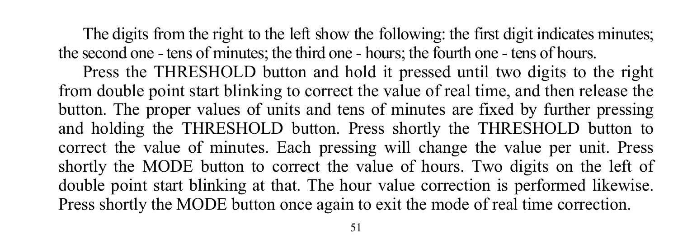The digits from the right to the left show the following: the first digit indicates minutes; the second one - tens of minutes; the third one - hours; the fourth one - tens of hours.

Press the THRESHOLD button and hold it pressed until two digits to the right from double point start blinking to correct the value of real time, and then release the button. The proper values of units and tens of minutes are fixed by further pressing and holding the THRESHOLD button. Press shortly the THRESHOLD button to correct the value of minutes. Each pressing will change the value per unit. Press shortly the MODE button to correct the value of hours. Two digits on the left of double point start blinking at that. The hour value correction is performed likewise. Press shortly the MODE button once again to exit the mode of real time correction.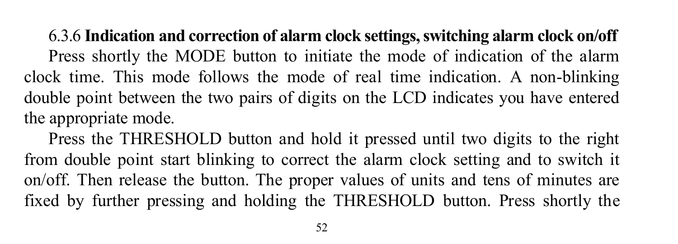6.3.6 **Indication and correction of alarm clock settings, switching alarm clock on/off** Press shortly the MODE button to initiate the mode of indication of the alarm clock time. This mode follows the mode of real time indication. A non-blinking double point between the two pairs of digits on the LCD indicates you have entered the appropriate mode.

Press the THRESHOLD button and hold it pressed until two digits to the right from double point start blinking to correct the alarm clock setting and to switch it on/off. Then release the button. The proper values of units and tens of minutes are fixed by further pressing and holding the THRESHOLD button. Press shortly the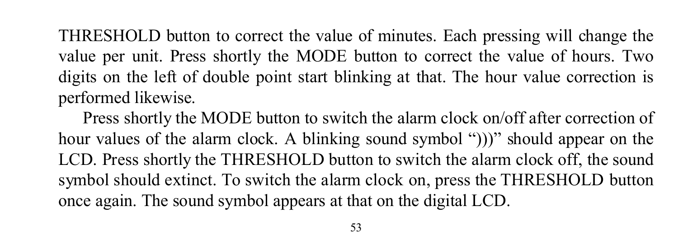THRESHOLD button to correct the value of minutes. Each pressing will change the value per unit. Press shortly the MODE button to correct the value of hours. Two digits on the left of double point start blinking at that. The hour value correction is performed likewise.

Press shortly the MODE button to switch the alarm clock on/off after correction of hour values of the alarm clock. A blinking sound symbol "))" should appear on the LCD. Press shortly the THRESHOLD button to switch the alarm clock off, the sound symbol should extinct. To switch the alarm clock on, press the THRESHOLD button once again. The sound symbol appears at that on the digital LCD.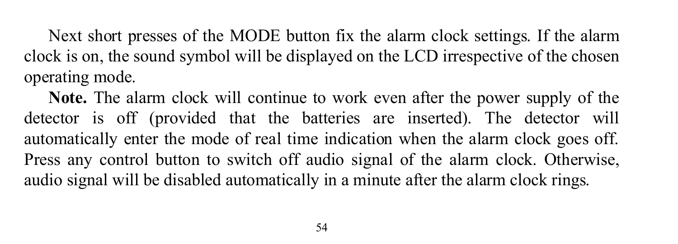Next short presses of the MODE button fix the alarm clock settings. If the alarm clock is on, the sound symbol will be displayed on the LCD irrespective of the chosen operating mode.

**Note.** The alarm clock will continue to work even after the power supply of the detector is off (provided that the batteries are inserted). The detector will automatically enter the mode of real time indication when the alarm clock goes off. Press any control button to switch off audio signal of the alarm clock. Otherwise, audio signal will be disabled automatically in a minute after the alarm clock rings.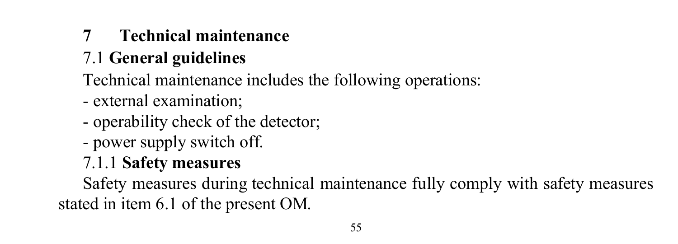### **7 Technical maintenance**

# 7.1 **General guidelines**

- Technical maintenance includes the following operations:
- external examination;
- operability check of the detector;
- power supply switch off.
- 7.1.1 **Safety measures**

Safety measures during technical maintenance fully comply with safety measures stated in item 6.1 of the present OM.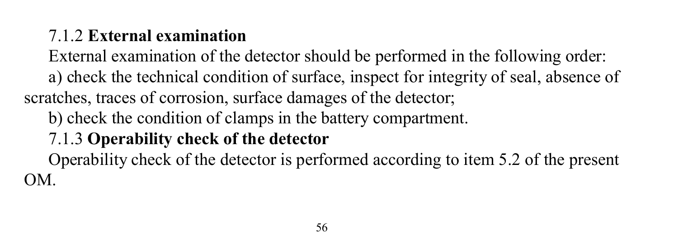### 7.1.2 **External examination**

External examination of the detector should be performed in the following order: а) check the technical condition of surface, inspect for integrity of seal, absence of scratches, traces of corrosion, surface damages of the detector;

b) check the condition of clamps in the battery compartment.

### 7.1.3 **Operability check of the detector**

Operability check of the detector is performed according to item 5.2 of the present OM.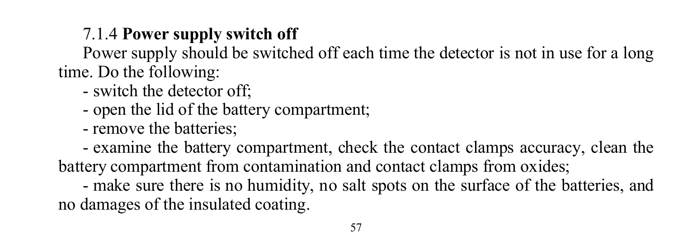# 7.1.4 **Power supply switch off**

Power supply should be switched off each time the detector is not in use for a long time. Do the following:

- switch the detector off;
- open the lid of the battery compartment;
- remove the batteries;

- examine the battery compartment, check the contact clamps accuracy, clean the battery compartment from contamination and contact clamps from oxides;

- make sure there is no humidity, no salt spots on the surface of the batteries, and no damages of the insulated coating.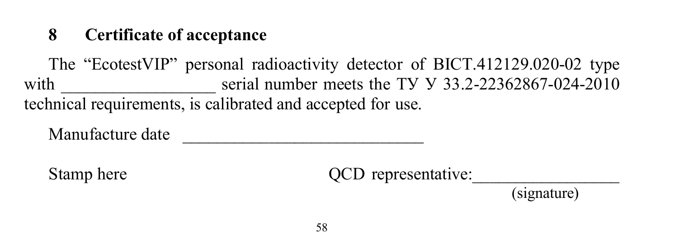### **8 Certificate of acceptance**

The "EcotestVIP" personal radioactivity detector of BICT.412129.020-02 type with  $\frac{1}{2}$  serial number meets the TV V 33.2-22362867-024-2010 technical requirements, is calibrated and accepted for use.

Manufacture date

Stamp here  $QCD$  representative:

(signature)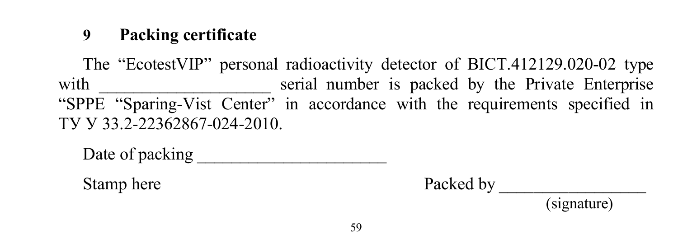### **9 Packing certificate**

The "EcotestVIP" personal radioactivity detector of BICT.412129.020-02 type with serial number is packed by the Private Enterprise "SPPE "Sparing-Vist Center" in accordance with the requirements specified in ТУ У 33.2-22362867-024-2010.

Date of packing

Stamp here Packed by

(signature)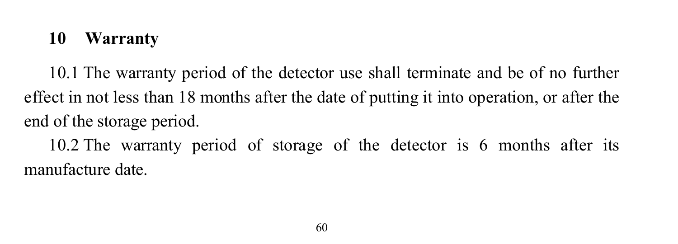### **10 Warranty**

10.1 The warranty period of the detector use shall terminate and be of no further effect in not less than 18 months after the date of putting it into operation, or after the end of the storage period.

10.2 The warranty period of storage of the detector is 6 months after its manufacture date.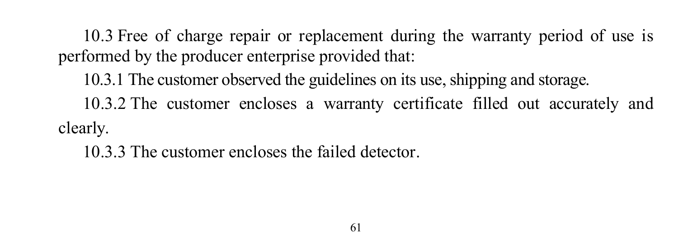10.3 Free of charge repair or replacement during the warranty period of use is performed by the producer enterprise provided that:

- 10.3.1 The customer observed the guidelines on its use, shipping and storage. 10.3.2 The customer encloses a warranty certificate filled out accurately and clearly.
	- 10.3.3 The customer encloses the failed detector.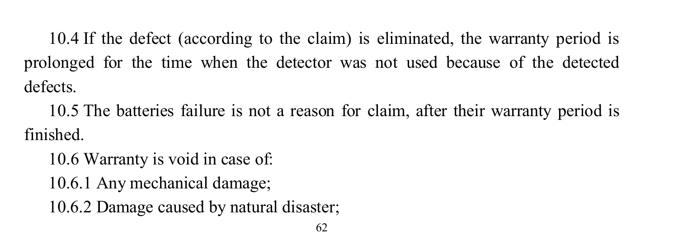10.4 If the defect (according to the claim) is eliminated, the warranty period is prolonged for the time when the detector was not used because of the detected defects.

10.5 The batteries failure is not a reason for claim, after their warranty period is finished.

10.6 Warranty is void in case of: 10.6.1 Any mechanical damage; 10.6.2 Damage caused by natural disaster;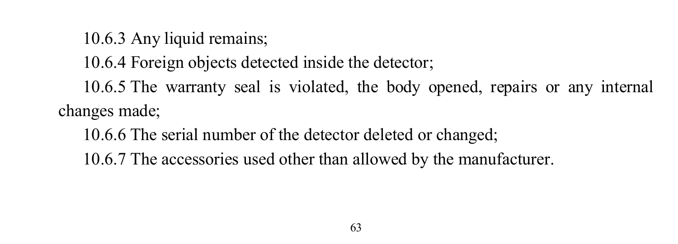10.6.3 Any liquid remains; 10.6.4 Foreign objects detected inside the detector; 10.6.5 The warranty seal is violated, the body opened, repairs or any internal changes made;

10.6.6 The serial number of the detector deleted or changed;

10.6.7 The accessories used other than allowed by the manufacturer.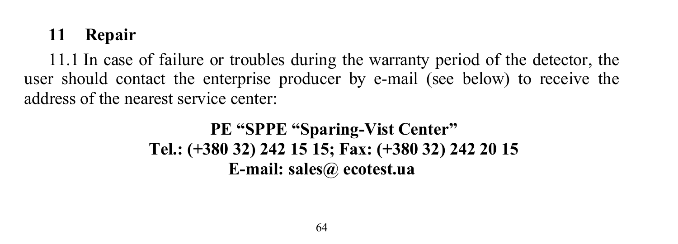### **11 Repair**

11.1 In case of failure or troubles during the warranty period of the detector, the user should contact the enterprise producer by e-mail (see below) to receive the address of the nearest service center:

### **PE "SPPE "Sparing-Vist Center" Tel.: (+380 32) 242 15 15; Fax: (+380 32) 242 20 15 E-mail: sales@ ecotest.ua**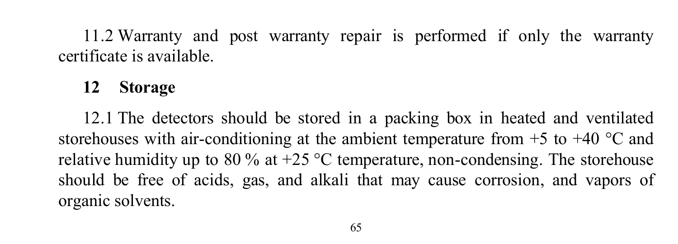11.2 Warranty and post warranty repair is performed if only the warranty certificate is available.

### **12 Storage**

12.1 The detectors should be stored in a packing box in heated and ventilated storehouses with air-conditioning at the ambient temperature from  $+5$  to  $+40$  °C and relative humidity up to 80 % at  $+25$  °C temperature, non-condensing. The storehouse should be free of acids, gas, and alkali that may cause corrosion, and vapors of organic solvents.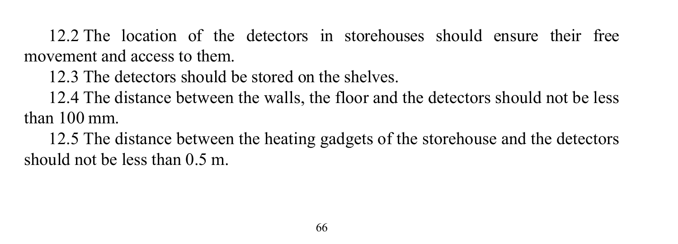12.2 The location of the detectors in storehouses should ensure their free movement and access to them.

12.3 The detectors should be stored on the shelves.

12.4 The distance between the walls, the floor and the detectors should not be less than 100 mm.

12.5 The distance between the heating gadgets of the storehouse and the detectors should not be less than 0.5 m.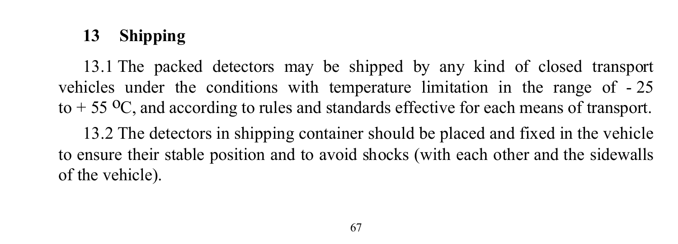# **13 Shipping**

13.1 The packed detectors may be shipped by any kind of closed transport vehicles under the conditions with temperature limitation in the range of - 25 to  $+ 55 \,^{\circ}\text{C}$ , and according to rules and standards effective for each means of transport.

13.2 The detectors in shipping container should be placed and fixed in the vehicle to ensure their stable position and to avoid shocks (with each other and the sidewalls of the vehicle).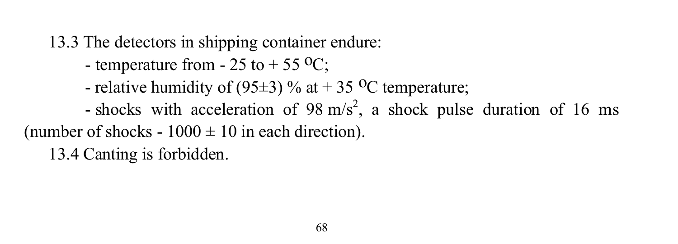13.3 The detectors in shipping container endure:

- temperature from 25 to + 55  $^{\circ}$ C;
- relative humidity of (95 $\pm$ 3) % at + 35 <sup>o</sup>C temperature;
- shocks with acceleration of 98 m/s<sup>2</sup>, a shock pulse duration of 16 ms (number of shocks -  $1000 \pm 10$  in each direction).

13.4 Canting is forbidden.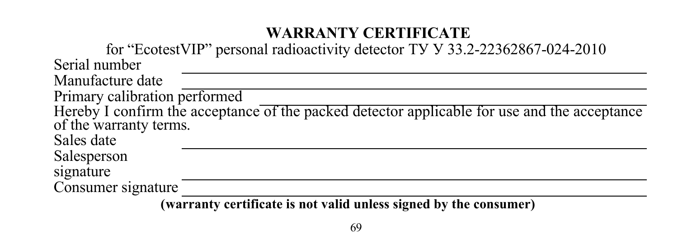### **WARRANTY CERTIFICATE**

for "EcotestVIP" personal radioactivity detector ТУ У 33.2-22362867-024-2010 Serial number Manufacture date Primary calibration performed Hereby I confirm the acceptance of the packed detector applicable for use and the acceptance of the warranty terms. Sales date Salesperson signature Consumer signature

**(warranty certificate is not valid unless signed by the consumer)**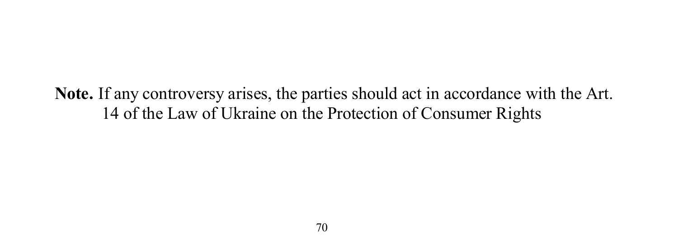#### **Note.** If any controversy arises, the parties should act in accordance with the Art. 14 of the Law of Ukraine on the Protection of Consumer Rights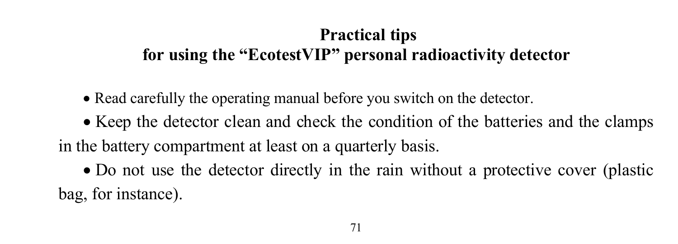## **Practical tips for using the "EcotestVIP" personal radioactivity detector**

- Read carefully the operating manual before you switch on the detector.
- Keep the detector clean and check the condition of the batteries and the clamps in the battery compartment at least on a quarterly basis.
- Do not use the detector directly in the rain without a protective cover (plastic bag, for instance).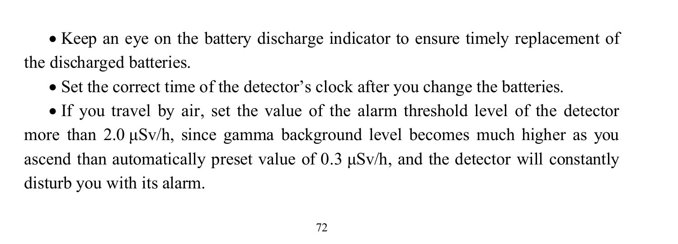• Keep an eye on the battery discharge indicator to ensure timely replacement of the discharged batteries.

• Set the correct time of the detector's clock after you change the batteries.

 If you travel by air, set the value of the alarm threshold level of the detector more than 2.0 μSv/h, since gamma background level becomes much higher as you ascend than automatically preset value of  $0.3 \mu Sv/h$ , and the detector will constantly disturb you with its alarm.